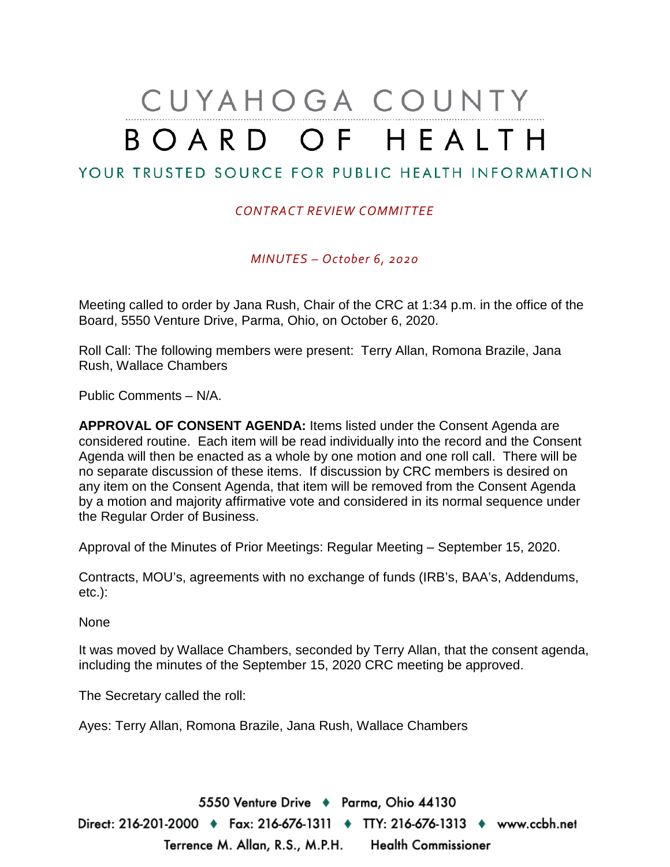# CUYAHOGA COUNTY BOARD OF HEALTH

## YOUR TRUSTED SOURCE FOR PUBLIC HEALTH INFORMATION

#### *CONTRACT REVIEW COMMITTEE*

*MINUTES – October 6, 2020*

Meeting called to order by Jana Rush, Chair of the CRC at 1:34 p.m. in the office of the Board, 5550 Venture Drive, Parma, Ohio, on October 6, 2020.

Roll Call: The following members were present: Terry Allan, Romona Brazile, Jana Rush, Wallace Chambers

Public Comments – N/A.

**APPROVAL OF CONSENT AGENDA:** Items listed under the Consent Agenda are considered routine. Each item will be read individually into the record and the Consent Agenda will then be enacted as a whole by one motion and one roll call. There will be no separate discussion of these items. If discussion by CRC members is desired on any item on the Consent Agenda, that item will be removed from the Consent Agenda by a motion and majority affirmative vote and considered in its normal sequence under the Regular Order of Business.

Approval of the Minutes of Prior Meetings: Regular Meeting – September 15, 2020.

Contracts, MOU's, agreements with no exchange of funds (IRB's, BAA's, Addendums, etc.):

None

It was moved by Wallace Chambers, seconded by Terry Allan, that the consent agenda, including the minutes of the September 15, 2020 CRC meeting be approved.

The Secretary called the roll:

Ayes: Terry Allan, Romona Brazile, Jana Rush, Wallace Chambers

5550 Venture Drive + Parma, Ohio 44130 Direct: 216-201-2000 ♦ Fax: 216-676-1311 ♦ TTY: 216-676-1313 ♦ www.ccbh.net Terrence M. Allan, R.S., M.P.H. Health Commissioner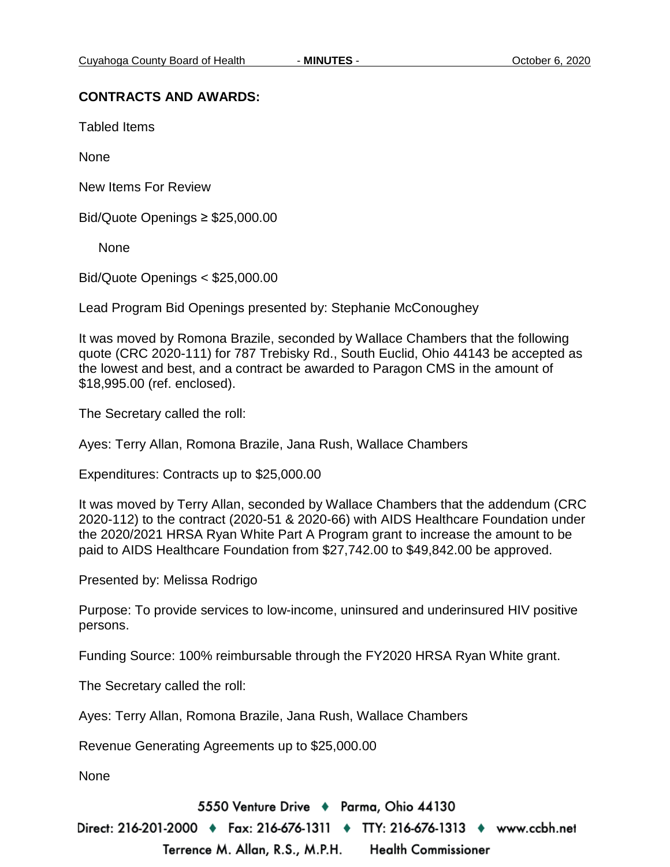#### **CONTRACTS AND AWARDS:**

Tabled Items

None

New Items For Review

Bid/Quote Openings ≥ \$25,000.00

None

Bid/Quote Openings < \$25,000.00

Lead Program Bid Openings presented by: Stephanie McConoughey

It was moved by Romona Brazile, seconded by Wallace Chambers that the following quote (CRC 2020-111) for 787 Trebisky Rd., South Euclid, Ohio 44143 be accepted as the lowest and best, and a contract be awarded to Paragon CMS in the amount of \$18,995.00 (ref. enclosed).

The Secretary called the roll:

Ayes: Terry Allan, Romona Brazile, Jana Rush, Wallace Chambers

Expenditures: Contracts up to \$25,000.00

It was moved by Terry Allan, seconded by Wallace Chambers that the addendum (CRC 2020-112) to the contract (2020-51 & 2020-66) with AIDS Healthcare Foundation under the 2020/2021 HRSA Ryan White Part A Program grant to increase the amount to be paid to AIDS Healthcare Foundation from \$27,742.00 to \$49,842.00 be approved.

Presented by: Melissa Rodrigo

Purpose: To provide services to low-income, uninsured and underinsured HIV positive persons.

Funding Source: 100% reimbursable through the FY2020 HRSA Ryan White grant.

The Secretary called the roll:

Ayes: Terry Allan, Romona Brazile, Jana Rush, Wallace Chambers

Revenue Generating Agreements up to \$25,000.00

None

5550 Venture Drive + Parma, Ohio 44130

Direct: 216-201-2000 ♦ Fax: 216-676-1311 ♦ TTY: 216-676-1313 ♦ www.ccbh.net

Terrence M. Allan, R.S., M.P.H. **Health Commissioner**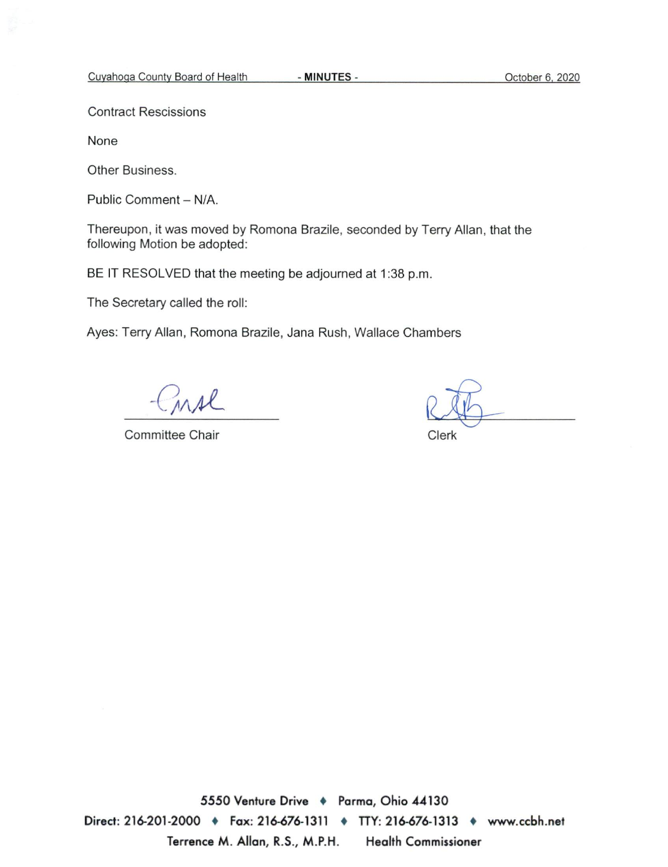**Contract Rescissions** 

None

Other Business.

Public Comment - N/A.

Thereupon, it was moved by Romona Brazile, seconded by Terry Allan, that the following Motion be adopted:

BE IT RESOLVED that the meeting be adjourned at 1:38 p.m.

The Secretary called the roll:

Ayes: Terry Allan, Romona Brazile, Jana Rush, Wallace Chambers

irse

Committee Chair

Clerk

5550 Venture Drive + Parma, Ohio 44130 Direct: 216-201-2000 • Fax: 216-676-1311 • TTY: 216-676-1313 • www.ccbh.net Terrence M. Allan, R.S., M.P.H. **Health Commissioner**